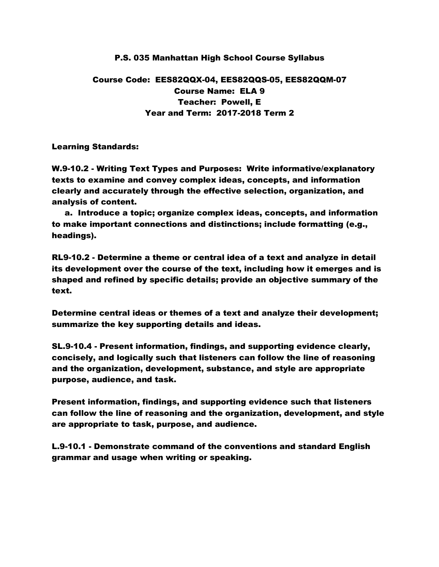## P.S. 035 Manhattan High School Course Syllabus

# Course Code: EES82QQX-04, EES82QQS-05, EES82QQM-07 Course Name: ELA 9 Teacher: Powell, E Year and Term: 2017-2018 Term 2

Learning Standards:

W.9-10.2 - Writing Text Types and Purposes: Write informative/explanatory texts to examine and convey complex ideas, concepts, and information clearly and accurately through the effective selection, organization, and analysis of content.

 a. Introduce a topic; organize complex ideas, concepts, and information to make important connections and distinctions; include formatting (e.g., headings).

RL9-10.2 - Determine a theme or central idea of a text and analyze in detail its development over the course of the text, including how it emerges and is shaped and refined by specific details; provide an objective summary of the text.

Determine central ideas or themes of a text and analyze their development; summarize the key supporting details and ideas.

SL.9-10.4 - Present information, findings, and supporting evidence clearly, concisely, and logically such that listeners can follow the line of reasoning and the organization, development, substance, and style are appropriate purpose, audience, and task.

Present information, findings, and supporting evidence such that listeners can follow the line of reasoning and the organization, development, and style are appropriate to task, purpose, and audience.

L.9-10.1 - Demonstrate command of the conventions and standard English grammar and usage when writing or speaking.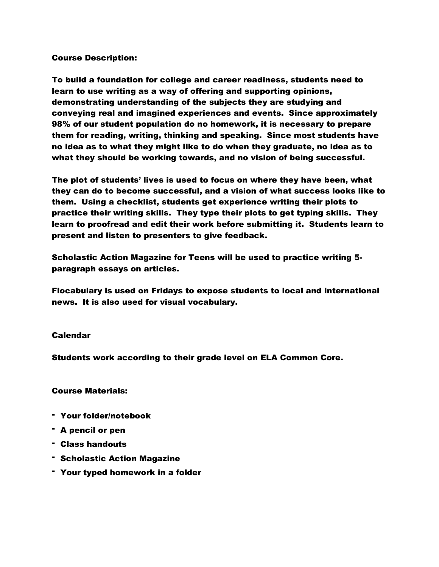#### Course Description:

To build a foundation for college and career readiness, students need to learn to use writing as a way of offering and supporting opinions, demonstrating understanding of the subjects they are studying and conveying real and imagined experiences and events. Since approximately 98% of our student population do no homework, it is necessary to prepare them for reading, writing, thinking and speaking. Since most students have no idea as to what they might like to do when they graduate, no idea as to what they should be working towards, and no vision of being successful.

The plot of students' lives is used to focus on where they have been, what they can do to become successful, and a vision of what success looks like to them. Using a checklist, students get experience writing their plots to practice their writing skills. They type their plots to get typing skills. They learn to proofread and edit their work before submitting it. Students learn to present and listen to presenters to give feedback.

Scholastic Action Magazine for Teens will be used to practice writing 5 paragraph essays on articles.

Flocabulary is used on Fridays to expose students to local and international news. It is also used for visual vocabulary.

#### Calendar

Students work according to their grade level on ELA Common Core.

### Course Materials:

- Your folder/notebook
- A pencil or pen
- Class handouts
- Scholastic Action Magazine
- Your typed homework in a folder